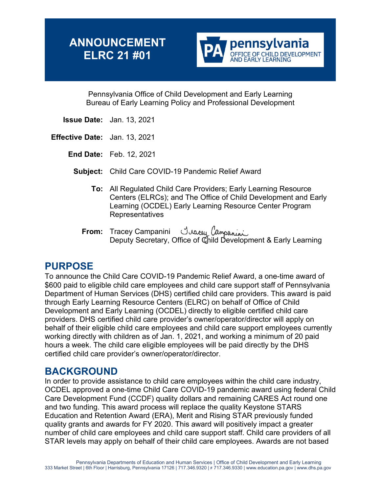# **ANNOUNCEMENT ELRC 21 #01**



Pennsylvania Office of Child Development and Early Learning Bureau of Early Learning Policy and Professional Development

- **Issue Date:** Jan. 13, 2021
- **Effective Date:** Jan. 13, 2021
	- **End Date:** Feb. 12, 2021
		- **Subject:** Child Care COVID-19 Pandemic Relief Award
			- **To:** All Regulated Child Care Providers; Early Learning Resource Centers (ELRCs); and The Office of Child Development and Early Learning (OCDEL) Early Learning Resource Center Program Representatives
			- **From:** Tracey Campanini Deputy Secretary, Office of Child Development & Early Learning

## **PURPOSE**

To announce the Child Care COVID-19 Pandemic Relief Award, a one-time award of \$600 paid to eligible child care employees and child care support staff of Pennsylvania Department of Human Services (DHS) certified child care providers. This award is paid through Early Learning Resource Centers (ELRC) on behalf of Office of Child Development and Early Learning (OCDEL) directly to eligible certified child care providers. DHS certified child care provider's owner/operator/director will apply on behalf of their eligible child care employees and child care support employees currently working directly with children as of Jan. 1, 2021, and working a minimum of 20 paid hours a week. The child care eligible employees will be paid directly by the DHS certified child care provider's owner/operator/director.

## **BACKGROUND**

In order to provide assistance to child care employees within the child care industry, OCDEL approved a one-time Child Care COVID-19 pandemic award using federal Child Care Development Fund (CCDF) quality dollars and remaining CARES Act round one and two funding. This award process will replace the quality Keystone STARS Education and Retention Award (ERA), Merit and Rising STAR previously funded quality grants and awards for FY 2020. This award will positively impact a greater number of child care employees and child care support staff. Child care providers of all STAR levels may apply on behalf of their child care employees. Awards are not based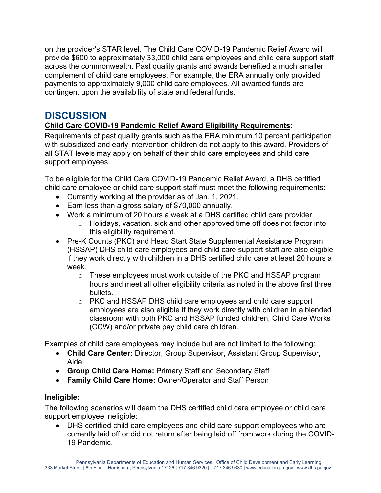on the provider's STAR level. The Child Care COVID-19 Pandemic Relief Award will provide \$600 to approximately 33,000 child care employees and child care support staff across the commonwealth. Past quality grants and awards benefited a much smaller complement of child care employees. For example, the ERA annually only provided payments to approximately 9,000 child care employees. All awarded funds are contingent upon the availability of state and federal funds.

## **DISCUSSION**

### **Child Care COVID-19 Pandemic Relief Award Eligibility Requirements:**

Requirements of past quality grants such as the ERA minimum 10 percent participation with subsidized and early intervention children do not apply to this award. Providers of all STAT levels may apply on behalf of their child care employees and child care support employees.

To be eligible for the Child Care COVID-19 Pandemic Relief Award, a DHS certified child care employee or child care support staff must meet the following requirements:

- Currently working at the provider as of Jan. 1, 2021.
- Earn less than a gross salary of \$70,000 annually.
- Work a minimum of 20 hours a week at a DHS certified child care provider.
	- $\circ$  Holidays, vacation, sick and other approved time off does not factor into this eligibility requirement.
- Pre-K Counts (PKC) and Head Start State Supplemental Assistance Program (HSSAP) DHS child care employees and child care support staff are also eligible if they work directly with children in a DHS certified child care at least 20 hours a week.
	- o These employees must work outside of the PKC and HSSAP program hours and meet all other eligibility criteria as noted in the above first three bullets.
	- o PKC and HSSAP DHS child care employees and child care support employees are also eligible if they work directly with children in a blended classroom with both PKC and HSSAP funded children, Child Care Works (CCW) and/or private pay child care children.

Examples of child care employees may include but are not limited to the following:

- **Child Care Center:** Director, Group Supervisor, Assistant Group Supervisor, Aide
- **Group Child Care Home:** Primary Staff and Secondary Staff
- **Family Child Care Home:** Owner/Operator and Staff Person

#### **Ineligible:**

The following scenarios will deem the DHS certified child care employee or child care support employee ineligible:

• DHS certified child care employees and child care support employees who are currently laid off or did not return after being laid off from work during the COVID-19 Pandemic.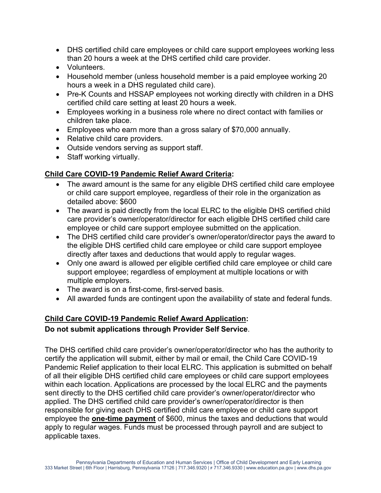- DHS certified child care employees or child care support employees working less than 20 hours a week at the DHS certified child care provider.
- Volunteers.
- Household member (unless household member is a paid employee working 20 hours a week in a DHS regulated child care).
- Pre-K Counts and HSSAP employees not working directly with children in a DHS certified child care setting at least 20 hours a week.
- Employees working in a business role where no direct contact with families or children take place.
- Employees who earn more than a gross salary of \$70,000 annually.
- Relative child care providers.
- Outside vendors serving as support staff.
- Staff working virtually.

#### **Child Care COVID-19 Pandemic Relief Award Criteria:**

- The award amount is the same for any eligible DHS certified child care employee or child care support employee, regardless of their role in the organization as detailed above: \$600
- The award is paid directly from the local ELRC to the eligible DHS certified child care provider's owner/operator/director for each eligible DHS certified child care employee or child care support employee submitted on the application.
- The DHS certified child care provider's owner/operator/director pays the award to the eligible DHS certified child care employee or child care support employee directly after taxes and deductions that would apply to regular wages.
- Only one award is allowed per eligible certified child care employee or child care support employee; regardless of employment at multiple locations or with multiple employers.
- The award is on a first-come, first-served basis.
- All awarded funds are contingent upon the availability of state and federal funds.

#### **Child Care COVID-19 Pandemic Relief Award Application: Do not submit applications through Provider Self Service**.

The DHS certified child care provider's owner/operator/director who has the authority to certify the application will submit, either by mail or email, the Child Care COVID-19 Pandemic Relief application to their local ELRC. This application is submitted on behalf of all their eligible DHS certified child care employees or child care support employees within each location. Applications are processed by the local ELRC and the payments sent directly to the DHS certified child care provider's owner/operator/director who applied. The DHS certified child care provider's owner/operator/director is then responsible for giving each DHS certified child care employee or child care support employee the **one-time payment** of \$600, minus the taxes and deductions that would apply to regular wages. Funds must be processed through payroll and are subject to applicable taxes.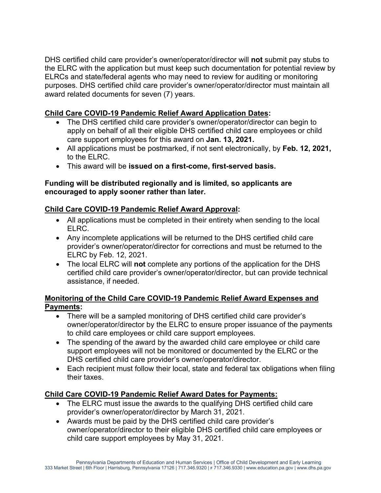DHS certified child care provider's owner/operator/director will **not** submit pay stubs to the ELRC with the application but must keep such documentation for potential review by ELRCs and state/federal agents who may need to review for auditing or monitoring purposes. DHS certified child care provider's owner/operator/director must maintain all award related documents for seven (7) years.

#### **Child Care COVID-19 Pandemic Relief Award Application Dates:**

- The DHS certified child care provider's owner/operator/director can begin to apply on behalf of all their eligible DHS certified child care employees or child care support employees for this award on **Jan. 13, 2021.**
- All applications must be postmarked, if not sent electronically, by **Feb. 12, 2021,** to the ELRC.
- This award will be **issued on a first-come, first-served basis.**

#### **Funding will be distributed regionally and is limited, so applicants are encouraged to apply sooner rather than later.**

#### **Child Care COVID-19 Pandemic Relief Award Approval:**

- All applications must be completed in their entirety when sending to the local ELRC.
- Any incomplete applications will be returned to the DHS certified child care provider's owner/operator/director for corrections and must be returned to the ELRC by Feb. 12, 2021.
- The local ELRC will **not** complete any portions of the application for the DHS certified child care provider's owner/operator/director, but can provide technical assistance, if needed.

#### **Monitoring of the Child Care COVID-19 Pandemic Relief Award Expenses and Payments:**

- There will be a sampled monitoring of DHS certified child care provider's owner/operator/director by the ELRC to ensure proper issuance of the payments to child care employees or child care support employees.
- The spending of the award by the awarded child care employee or child care support employees will not be monitored or documented by the ELRC or the DHS certified child care provider's owner/operator/director.
- Each recipient must follow their local, state and federal tax obligations when filing their taxes.

#### **Child Care COVID-19 Pandemic Relief Award Dates for Payments:**

- The ELRC must issue the awards to the qualifying DHS certified child care provider's owner/operator/director by March 31, 2021.
- Awards must be paid by the DHS certified child care provider's owner/operator/director to their eligible DHS certified child care employees or child care support employees by May 31, 2021.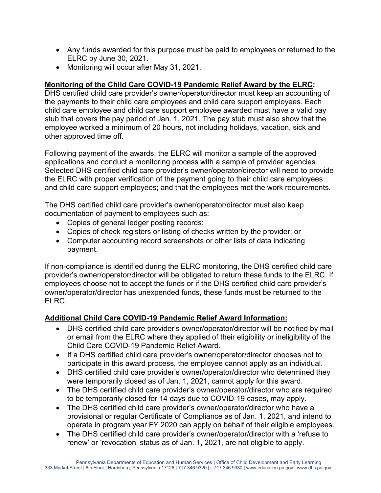- Any funds awarded for this purpose must be paid to employees or returned to the ELRC by June 30, 2021.
- Monitoring will occur after May 31, 2021.

#### **Monitoring of the Child Care COVID-19 Pandemic Relief Award by the ELRC:**

DHS certified child care provider's owner/operator/director must keep an accounting of the payments to their child care employees and child care support employees. Each child care employee and child care support employee awarded must have a valid pay stub that covers the pay period of Jan. 1, 2021. The pay stub must also show that the employee worked a minimum of 20 hours, not including holidays, vacation, sick and other approved time off.

Following payment of the awards, the ELRC will monitor a sample of the approved applications and conduct a monitoring process with a sample of provider agencies. Selected DHS certified child care provider's owner/operator/director will need to provide the ELRC with proper verification of the payment going to their child care employees and child care support employees; and that the employees met the work requirements.

The DHS certified child care provider's owner/operator/director must also keep documentation of payment to employees such as:

- Copies of general ledger posting records;
- Copies of check registers or listing of checks written by the provider; or
- Computer accounting record screenshots or other lists of data indicating payment.

If non-compliance is identified during the ELRC monitoring, the DHS certified child care provider's owner/operator/director will be obligated to return these funds to the ELRC. If employees choose not to accept the funds or if the DHS certified child care provider's owner/operator/director has unexpended funds, these funds must be returned to the ELRC.

#### **Additional Child Care COVID-19 Pandemic Relief Award Information:**

- DHS certified child care provider's owner/operator/director will be notified by mail or email from the ELRC where they applied of their eligibility or ineligibility of the Child Care COVID-19 Pandemic Relief Award.
- If a DHS certified child care provider's owner/operator/director chooses not to participate in this award process, the employee cannot apply as an individual.
- DHS certified child care provider's owner/operator/director who determined they were temporarily closed as of Jan. 1, 2021, cannot apply for this award.
- The DHS certified child care provider's owner/operator/director who are required to be temporarily closed for 14 days due to COVID-19 cases, may apply.
- The DHS certified child care provider's owner/operator/director who have a provisional or regular Certificate of Compliance as of Jan. 1, 2021, and intend to operate in program year FY 2020 can apply on behalf of their eligible employees.
- The DHS certified child care provider's owner/operator/director with a 'refuse to renew' or 'revocation' status as of Jan. 1, 2021, are not eligible to apply.